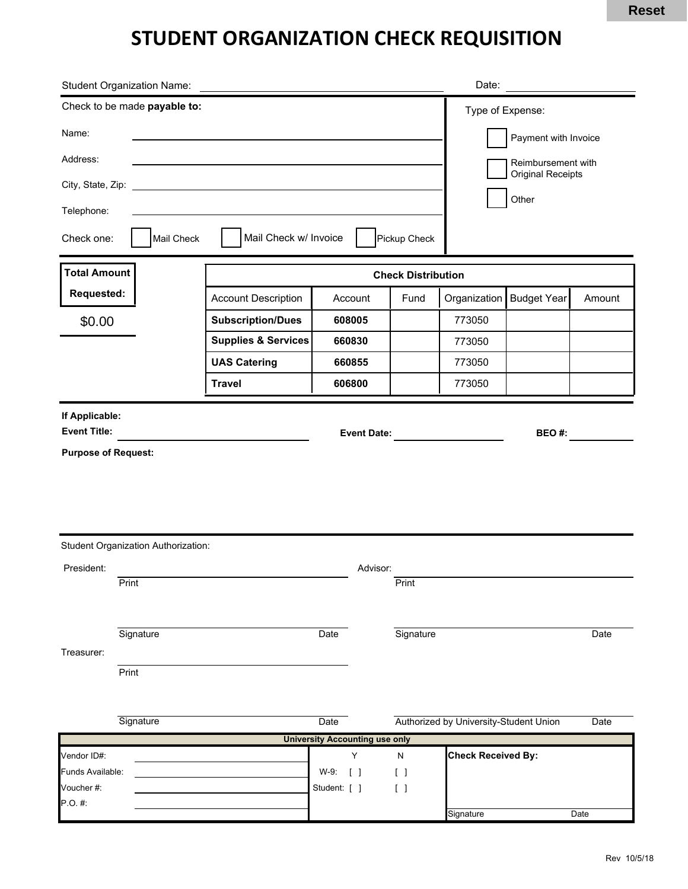## **STUDENT ORGANIZATION CHECK REQUISITION**

|                                                                            | <b>Student Organization Name:</b>          |                                      |                                       |                                      | Date:                                  |                    |        |  |
|----------------------------------------------------------------------------|--------------------------------------------|--------------------------------------|---------------------------------------|--------------------------------------|----------------------------------------|--------------------|--------|--|
| Check to be made payable to:                                               |                                            |                                      |                                       |                                      |                                        | Type of Expense:   |        |  |
| Name:                                                                      |                                            |                                      |                                       |                                      | Payment with Invoice                   |                    |        |  |
| Address:                                                                   |                                            |                                      |                                       |                                      | Reimbursement with                     |                    |        |  |
| City, State, Zip: _<br><u> 1989 - Johann Barbara, martxa alemaniar arg</u> |                                            |                                      |                                       |                                      | <b>Original Receipts</b>               |                    |        |  |
| Telephone:                                                                 |                                            |                                      |                                       |                                      | Other                                  |                    |        |  |
| Mail Check w/ Invoice<br>Check one:<br>Mail Check<br>Pickup Check          |                                            |                                      |                                       |                                      |                                        |                    |        |  |
| <b>Total Amount</b>                                                        |                                            | <b>Check Distribution</b>            |                                       |                                      |                                        |                    |        |  |
| Requested:                                                                 |                                            | <b>Account Description</b>           | Account                               | Fund                                 | Organization                           | <b>Budget Year</b> | Amount |  |
| \$0.00                                                                     |                                            | <b>Subscription/Dues</b>             | 608005                                |                                      | 773050                                 |                    |        |  |
|                                                                            |                                            | <b>Supplies &amp; Services</b>       | 660830                                |                                      | 773050                                 |                    |        |  |
|                                                                            |                                            | <b>UAS Catering</b><br><b>Travel</b> | 660855<br>606800                      |                                      | 773050                                 |                    |        |  |
|                                                                            |                                            |                                      |                                       |                                      | 773050                                 |                    |        |  |
| If Applicable:<br><b>Event Title:</b><br><b>Event Date:</b>                |                                            |                                      |                                       |                                      | BEO#:                                  |                    |        |  |
|                                                                            |                                            |                                      |                                       |                                      |                                        |                    |        |  |
|                                                                            | <b>Student Organization Authorization:</b> |                                      |                                       |                                      |                                        |                    |        |  |
| President:                                                                 | Print                                      |                                      | Advisor:                              | Print                                |                                        |                    |        |  |
| Treasurer:                                                                 | Signature                                  |                                      | Date                                  | Signature                            |                                        |                    | Date   |  |
|                                                                            | Print                                      |                                      |                                       |                                      |                                        |                    |        |  |
|                                                                            | Signature                                  |                                      | Date                                  |                                      | Authorized by University-Student Union |                    | Date   |  |
|                                                                            |                                            |                                      | <b>University Accounting use only</b> |                                      |                                        |                    |        |  |
| Vendor ID#:<br>Funds Available:<br>Voucher #:<br>$P.O.$ #:                 |                                            |                                      | Υ<br>W-9: [ ]                         | N<br>$\begin{bmatrix} \end{bmatrix}$ | <b>Check Received By:</b>              |                    |        |  |
|                                                                            |                                            |                                      | Student: [ ]                          | $\begin{bmatrix} \end{bmatrix}$      |                                        |                    |        |  |
|                                                                            |                                            |                                      |                                       |                                      | Signature                              |                    | Date   |  |